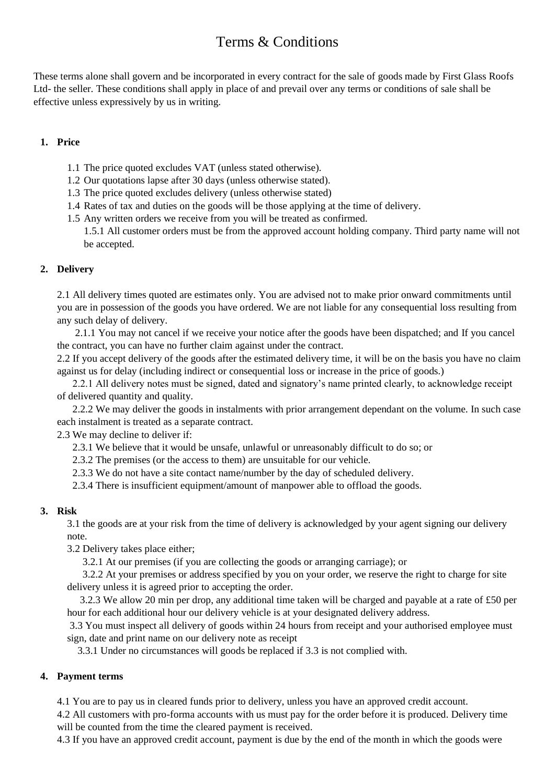These terms alone shall govern and be incorporated in every contract for the sale of goods made by First Glass Roofs Ltd- the seller. These conditions shall apply in place of and prevail over any terms or conditions of sale shall be effective unless expressively by us in writing.

### **1. Price**

- 1.1 The price quoted excludes VAT (unless stated otherwise).
- 1.2 Our quotations lapse after 30 days (unless otherwise stated).
- 1.3 The price quoted excludes delivery (unless otherwise stated)
- 1.4 Rates of tax and duties on the goods will be those applying at the time of delivery.
- 1.5 Any written orders we receive from you will be treated as confirmed. 1.5.1 All customer orders must be from the approved account holding company. Third party name will not be accepted.

## **2. Delivery**

2.1 All delivery times quoted are estimates only. You are advised not to make prior onward commitments until you are in possession of the goods you have ordered. We are not liable for any consequential loss resulting from any such delay of delivery.

 2.1.1 You may not cancel if we receive your notice after the goods have been dispatched; and If you cancel the contract, you can have no further claim against under the contract.

2.2 If you accept delivery of the goods after the estimated delivery time, it will be on the basis you have no claim against us for delay (including indirect or consequential loss or increase in the price of goods.)

 2.2.1 All delivery notes must be signed, dated and signatory's name printed clearly, to acknowledge receipt of delivered quantity and quality.

 2.2.2 We may deliver the goods in instalments with prior arrangement dependant on the volume. In such case each instalment is treated as a separate contract.

2.3 We may decline to deliver if:

2.3.1 We believe that it would be unsafe, unlawful or unreasonably difficult to do so; or

2.3.2 The premises (or the access to them) are unsuitable for our vehicle.

2.3.3 We do not have a site contact name/number by the day of scheduled delivery.

2.3.4 There is insufficient equipment/amount of manpower able to offload the goods.

## **3. Risk**

3.1 the goods are at your risk from the time of delivery is acknowledged by your agent signing our delivery note.

3.2 Delivery takes place either;

3.2.1 At our premises (if you are collecting the goods or arranging carriage); or

 3.2.2 At your premises or address specified by you on your order, we reserve the right to charge for site delivery unless it is agreed prior to accepting the order.

 3.2.3 We allow 20 min per drop, any additional time taken will be charged and payable at a rate of £50 per hour for each additional hour our delivery vehicle is at your designated delivery address.

3.3 You must inspect all delivery of goods within 24 hours from receipt and your authorised employee must sign, date and print name on our delivery note as receipt

3.3.1 Under no circumstances will goods be replaced if 3.3 is not complied with.

## **4. Payment terms**

4.1 You are to pay us in cleared funds prior to delivery, unless you have an approved credit account.

4.2 All customers with pro-forma accounts with us must pay for the order before it is produced. Delivery time will be counted from the time the cleared payment is received.

4.3 If you have an approved credit account, payment is due by the end of the month in which the goods were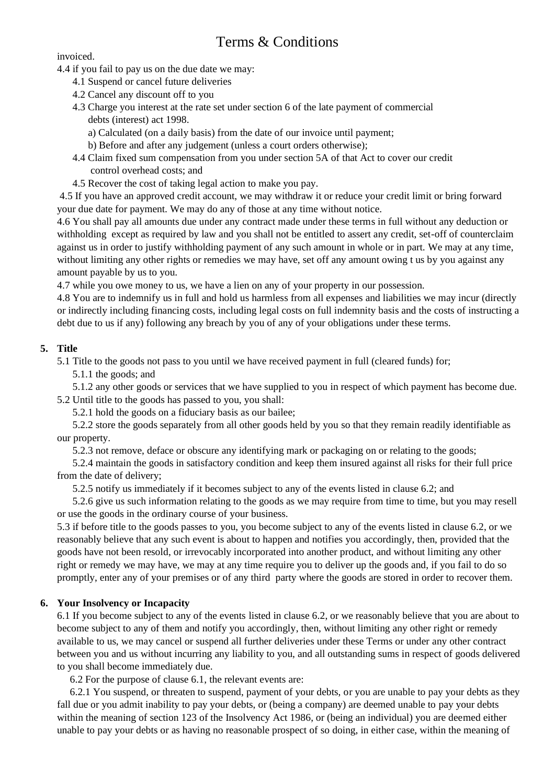invoiced.

- 4.4 if you fail to pay us on the due date we may:
	- 4.1 Suspend or cancel future deliveries
	- 4.2 Cancel any discount off to you
	- 4.3 Charge you interest at the rate set under section 6 of the late payment of commercial debts (interest) act 1998.
		- a) Calculated (on a daily basis) from the date of our invoice until payment;
		- b) Before and after any judgement (unless a court orders otherwise);
	- 4.4 Claim fixed sum compensation from you under section 5A of that Act to cover our credit control overhead costs; and
	- 4.5 Recover the cost of taking legal action to make you pay.

4.5 If you have an approved credit account, we may withdraw it or reduce your credit limit or bring forward your due date for payment. We may do any of those at any time without notice.

4.6 You shall pay all amounts due under any contract made under these terms in full without any deduction or withholding except as required by law and you shall not be entitled to assert any credit, set-off of counterclaim against us in order to justify withholding payment of any such amount in whole or in part. We may at any time, without limiting any other rights or remedies we may have, set off any amount owing t us by you against any amount payable by us to you.

4.7 while you owe money to us, we have a lien on any of your property in our possession.

4.8 You are to indemnify us in full and hold us harmless from all expenses and liabilities we may incur (directly or indirectly including financing costs, including legal costs on full indemnity basis and the costs of instructing a debt due to us if any) following any breach by you of any of your obligations under these terms.

## **5. Title**

5.1 Title to the goods not pass to you until we have received payment in full (cleared funds) for;

5.1.1 the goods; and

 5.1.2 any other goods or services that we have supplied to you in respect of which payment has become due. 5.2 Until title to the goods has passed to you, you shall:

5.2.1 hold the goods on a fiduciary basis as our bailee;

 5.2.2 store the goods separately from all other goods held by you so that they remain readily identifiable as our property.

5.2.3 not remove, deface or obscure any identifying mark or packaging on or relating to the goods;

 5.2.4 maintain the goods in satisfactory condition and keep them insured against all risks for their full price from the date of delivery;

5.2.5 notify us immediately if it becomes subject to any of the events listed in clause 6.2; and

 5.2.6 give us such information relating to the goods as we may require from time to time, but you may resell or use the goods in the ordinary course of your business.

5.3 if before title to the goods passes to you, you become subject to any of the events listed in clause 6.2, or we reasonably believe that any such event is about to happen and notifies you accordingly, then, provided that the goods have not been resold, or irrevocably incorporated into another product, and without limiting any other right or remedy we may have, we may at any time require you to deliver up the goods and, if you fail to do so promptly, enter any of your premises or of any third party where the goods are stored in order to recover them.

## **6. Your Insolvency or Incapacity**

6.1 If you become subject to any of the events listed in clause 6.2, or we reasonably believe that you are about to become subject to any of them and notify you accordingly, then, without limiting any other right or remedy available to us, we may cancel or suspend all further deliveries under these Terms or under any other contract between you and us without incurring any liability to you, and all outstanding sums in respect of goods delivered to you shall become immediately due.

6.2 For the purpose of clause 6.1, the relevant events are:

 6.2.1 You suspend, or threaten to suspend, payment of your debts, or you are unable to pay your debts as they fall due or you admit inability to pay your debts, or (being a company) are deemed unable to pay your debts within the meaning of section 123 of the Insolvency Act 1986, or (being an individual) you are deemed either unable to pay your debts or as having no reasonable prospect of so doing, in either case, within the meaning of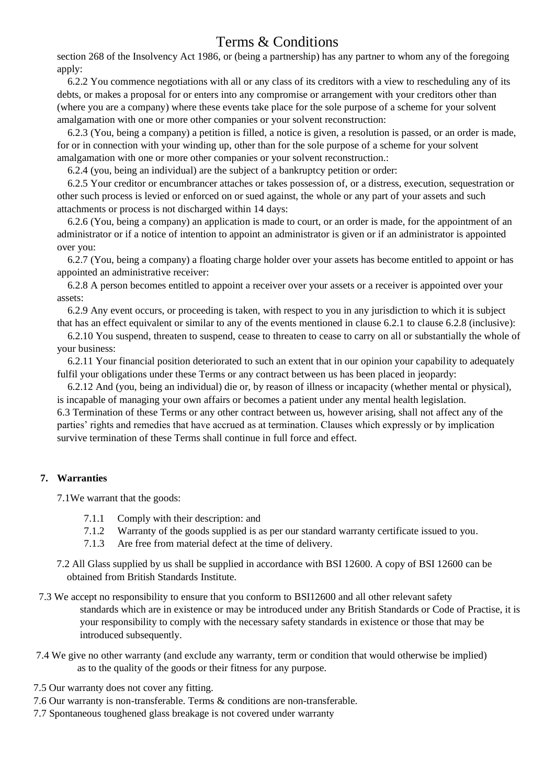section 268 of the Insolvency Act 1986, or (being a partnership) has any partner to whom any of the foregoing apply:

 6.2.2 You commence negotiations with all or any class of its creditors with a view to rescheduling any of its debts, or makes a proposal for or enters into any compromise or arrangement with your creditors other than (where you are a company) where these events take place for the sole purpose of a scheme for your solvent amalgamation with one or more other companies or your solvent reconstruction:

 6.2.3 (You, being a company) a petition is filled, a notice is given, a resolution is passed, or an order is made, for or in connection with your winding up, other than for the sole purpose of a scheme for your solvent amalgamation with one or more other companies or your solvent reconstruction.:

6.2.4 (you, being an individual) are the subject of a bankruptcy petition or order:

 6.2.5 Your creditor or encumbrancer attaches or takes possession of, or a distress, execution, sequestration or other such process is levied or enforced on or sued against, the whole or any part of your assets and such attachments or process is not discharged within 14 days:

 6.2.6 (You, being a company) an application is made to court, or an order is made, for the appointment of an administrator or if a notice of intention to appoint an administrator is given or if an administrator is appointed over you:

 6.2.7 (You, being a company) a floating charge holder over your assets has become entitled to appoint or has appointed an administrative receiver:

 6.2.8 A person becomes entitled to appoint a receiver over your assets or a receiver is appointed over your assets:

 6.2.9 Any event occurs, or proceeding is taken, with respect to you in any jurisdiction to which it is subject that has an effect equivalent or similar to any of the events mentioned in clause 6.2.1 to clause 6.2.8 (inclusive):

 6.2.10 You suspend, threaten to suspend, cease to threaten to cease to carry on all or substantially the whole of your business:

 6.2.11 Your financial position deteriorated to such an extent that in our opinion your capability to adequately fulfil your obligations under these Terms or any contract between us has been placed in jeopardy:

 6.2.12 And (you, being an individual) die or, by reason of illness or incapacity (whether mental or physical), is incapable of managing your own affairs or becomes a patient under any mental health legislation. 6.3 Termination of these Terms or any other contract between us, however arising, shall not affect any of the parties' rights and remedies that have accrued as at termination. Clauses which expressly or by implication

survive termination of these Terms shall continue in full force and effect.

## **7. Warranties**

7.1We warrant that the goods:

- 7.1.1 Comply with their description: and
- 7.1.2 Warranty of the goods supplied is as per our standard warranty certificate issued to you.
- 7.1.3 Are free from material defect at the time of delivery.
- 7.2 All Glass supplied by us shall be supplied in accordance with BSI 12600. A copy of BSI 12600 can be obtained from British Standards Institute.
- 7.3 We accept no responsibility to ensure that you conform to BSI12600 and all other relevant safety standards which are in existence or may be introduced under any British Standards or Code of Practise, it is your responsibility to comply with the necessary safety standards in existence or those that may be introduced subsequently.
- 7.4 We give no other warranty (and exclude any warranty, term or condition that would otherwise be implied) as to the quality of the goods or their fitness for any purpose.
- 7.5 Our warranty does not cover any fitting.
- 7.6 Our warranty is non-transferable. Terms & conditions are non-transferable.
- 7.7 Spontaneous toughened glass breakage is not covered under warranty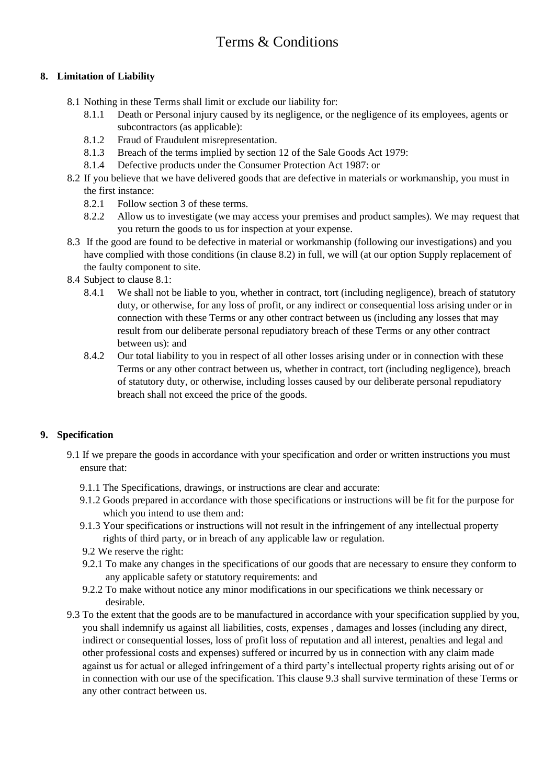## **8. Limitation of Liability**

- 8.1 Nothing in these Terms shall limit or exclude our liability for:
	- 8.1.1 Death or Personal injury caused by its negligence, or the negligence of its employees, agents or subcontractors (as applicable):
	- 8.1.2 Fraud of Fraudulent misrepresentation.
	- 8.1.3 Breach of the terms implied by section 12 of the Sale Goods Act 1979:
	- 8.1.4 Defective products under the Consumer Protection Act 1987: or
- 8.2 If you believe that we have delivered goods that are defective in materials or workmanship, you must in the first instance:
	- 8.2.1 Follow section 3 of these terms.
	- 8.2.2 Allow us to investigate (we may access your premises and product samples). We may request that you return the goods to us for inspection at your expense.
- 8.3 If the good are found to be defective in material or workmanship (following our investigations) and you have complied with those conditions (in clause 8.2) in full, we will (at our option Supply replacement of the faulty component to site.
- 8.4 Subject to clause 8.1:
	- 8.4.1 We shall not be liable to you, whether in contract, tort (including negligence), breach of statutory duty, or otherwise, for any loss of profit, or any indirect or consequential loss arising under or in connection with these Terms or any other contract between us (including any losses that may result from our deliberate personal repudiatory breach of these Terms or any other contract between us): and
	- 8.4.2 Our total liability to you in respect of all other losses arising under or in connection with these Terms or any other contract between us, whether in contract, tort (including negligence), breach of statutory duty, or otherwise, including losses caused by our deliberate personal repudiatory breach shall not exceed the price of the goods.

## **9. Specification**

- 9.1 If we prepare the goods in accordance with your specification and order or written instructions you must ensure that:
	- 9.1.1 The Specifications, drawings, or instructions are clear and accurate:
	- 9.1.2 Goods prepared in accordance with those specifications or instructions will be fit for the purpose for which you intend to use them and:
	- 9.1.3 Your specifications or instructions will not result in the infringement of any intellectual property rights of third party, or in breach of any applicable law or regulation.
	- 9.2 We reserve the right:
	- 9.2.1 To make any changes in the specifications of our goods that are necessary to ensure they conform to any applicable safety or statutory requirements: and
	- 9.2.2 To make without notice any minor modifications in our specifications we think necessary or desirable.
- 9.3 To the extent that the goods are to be manufactured in accordance with your specification supplied by you, you shall indemnify us against all liabilities, costs, expenses , damages and losses (including any direct, indirect or consequential losses, loss of profit loss of reputation and all interest, penalties and legal and other professional costs and expenses) suffered or incurred by us in connection with any claim made against us for actual or alleged infringement of a third party's intellectual property rights arising out of or in connection with our use of the specification. This clause 9.3 shall survive termination of these Terms or any other contract between us.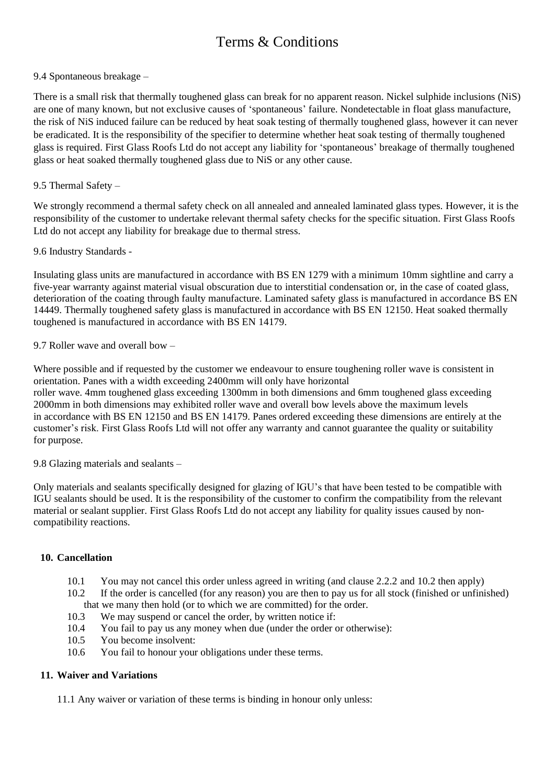### 9.4 Spontaneous breakage –

There is a small risk that thermally toughened glass can break for no apparent reason. Nickel sulphide inclusions (NiS) are one of many known, but not exclusive causes of 'spontaneous' failure. Nondetectable in float glass manufacture, the risk of NiS induced failure can be reduced by heat soak testing of thermally toughened glass, however it can never be eradicated. It is the responsibility of the specifier to determine whether heat soak testing of thermally toughened glass is required. First Glass Roofs Ltd do not accept any liability for 'spontaneous' breakage of thermally toughened glass or heat soaked thermally toughened glass due to NiS or any other cause.

### 9.5 Thermal Safety –

We strongly recommend a thermal safety check on all annealed and annealed laminated glass types. However, it is the responsibility of the customer to undertake relevant thermal safety checks for the specific situation. First Glass Roofs Ltd do not accept any liability for breakage due to thermal stress.

### 9.6 Industry Standards -

Insulating glass units are manufactured in accordance with BS EN 1279 with a minimum 10mm sightline and carry a five-year warranty against material visual obscuration due to interstitial condensation or, in the case of coated glass, deterioration of the coating through faulty manufacture. Laminated safety glass is manufactured in accordance BS EN 14449. Thermally toughened safety glass is manufactured in accordance with BS EN 12150. Heat soaked thermally toughened is manufactured in accordance with BS EN 14179.

9.7 Roller wave and overall bow –

Where possible and if requested by the customer we endeavour to ensure toughening roller wave is consistent in orientation. Panes with a width exceeding 2400mm will only have horizontal roller wave. 4mm toughened glass exceeding 1300mm in both dimensions and 6mm toughened glass exceeding 2000mm in both dimensions may exhibited roller wave and overall bow levels above the maximum levels in accordance with BS EN 12150 and BS EN 14179. Panes ordered exceeding these dimensions are entirely at the customer's risk. First Glass Roofs Ltd will not offer any warranty and cannot guarantee the quality or suitability for purpose.

9.8 Glazing materials and sealants –

Only materials and sealants specifically designed for glazing of IGU's that have been tested to be compatible with IGU sealants should be used. It is the responsibility of the customer to confirm the compatibility from the relevant material or sealant supplier. First Glass Roofs Ltd do not accept any liability for quality issues caused by noncompatibility reactions.

#### **10. Cancellation**

- 10.1 You may not cancel this order unless agreed in writing (and clause 2.2.2 and 10.2 then apply)
- 10.2 If the order is cancelled (for any reason) you are then to pay us for all stock (finished or unfinished) that we many then hold (or to which we are committed) for the order.
- 10.3 We may suspend or cancel the order, by written notice if:
- 10.4 You fail to pay us any money when due (under the order or otherwise):
- 10.5 You become insolvent:
- 10.6 You fail to honour your obligations under these terms.

#### **11. Waiver and Variations**

11.1 Any waiver or variation of these terms is binding in honour only unless: